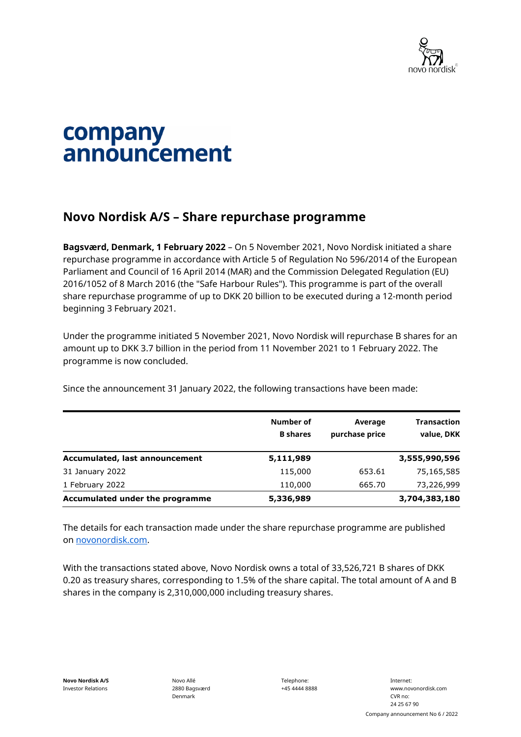

## company announcement

## **Novo Nordisk A/S – Share repurchase programme**

**Bagsværd, Denmark, 1 February 2022** – On 5 November 2021, Novo Nordisk initiated a share repurchase programme in accordance with Article 5 of Regulation No 596/2014 of the European Parliament and Council of 16 April 2014 (MAR) and the Commission Delegated Regulation (EU) 2016/1052 of 8 March 2016 (the "Safe Harbour Rules"). This programme is part of the overall share repurchase programme of up to DKK 20 billion to be executed during a 12-month period beginning 3 February 2021.

Under the programme initiated 5 November 2021, Novo Nordisk will repurchase B shares for an amount up to DKK 3.7 billion in the period from 11 November 2021 to 1 February 2022. The programme is now concluded.

Since the announcement 31 January 2022, the following transactions have been made:

|                                 | Number of<br><b>B</b> shares | Average<br>purchase price | <b>Transaction</b><br>value, DKK |
|---------------------------------|------------------------------|---------------------------|----------------------------------|
| Accumulated, last announcement  | 5,111,989                    |                           | 3,555,990,596                    |
| 31 January 2022                 | 115,000                      | 653.61                    | 75,165,585                       |
| 1 February 2022                 | 110,000                      | 665.70                    | 73,226,999                       |
| Accumulated under the programme | 5,336,989                    |                           | 3,704,383,180                    |

The details for each transaction made under the share repurchase programme are published on [novonordisk.com.](https://www.novonordisk.com/news-and-media/news-and-ir-materials.html)

With the transactions stated above, Novo Nordisk owns a total of 33,526,721 B shares of DKK 0.20 as treasury shares, corresponding to 1.5% of the share capital. The total amount of A and B shares in the company is 2,310,000,000 including treasury shares.

Novo Allé 2880 Bagsværd Denmark

Telephone: +45 4444 8888